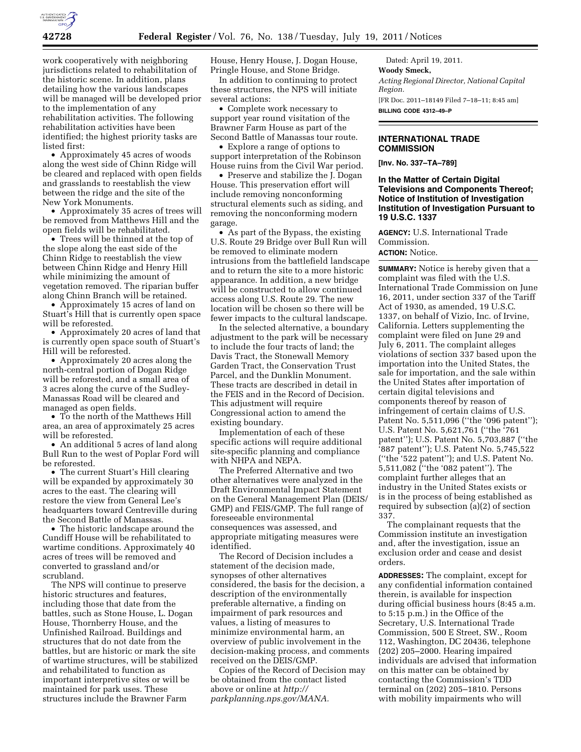

work cooperatively with neighboring jurisdictions related to rehabilitation of the historic scene. In addition, plans detailing how the various landscapes will be managed will be developed prior to the implementation of any rehabilitation activities. The following rehabilitation activities have been identified; the highest priority tasks are listed first:

• Approximately 45 acres of woods along the west side of Chinn Ridge will be cleared and replaced with open fields and grasslands to reestablish the view between the ridge and the site of the New York Monuments.

• Approximately 35 acres of trees will be removed from Matthews Hill and the open fields will be rehabilitated.

• Trees will be thinned at the top of the slope along the east side of the Chinn Ridge to reestablish the view between Chinn Ridge and Henry Hill while minimizing the amount of vegetation removed. The riparian buffer along Chinn Branch will be retained.

• Approximately 15 acres of land on Stuart's Hill that is currently open space will be reforested.

• Approximately 20 acres of land that is currently open space south of Stuart's Hill will be reforested.

• Approximately 20 acres along the north-central portion of Dogan Ridge will be reforested, and a small area of 3 acres along the curve of the Sudley-Manassas Road will be cleared and managed as open fields.

• To the north of the Matthews Hill area, an area of approximately 25 acres will be reforested.

• An additional 5 acres of land along Bull Run to the west of Poplar Ford will be reforested.

• The current Stuart's Hill clearing will be expanded by approximately 30 acres to the east. The clearing will restore the view from General Lee's headquarters toward Centreville during the Second Battle of Manassas.

• The historic landscape around the Cundiff House will be rehabilitated to wartime conditions. Approximately 40 acres of trees will be removed and converted to grassland and/or scrubland.

The NPS will continue to preserve historic structures and features, including those that date from the battles, such as Stone House, L. Dogan House, Thornberry House, and the Unfinished Railroad. Buildings and structures that do not date from the battles, but are historic or mark the site of wartime structures, will be stabilized and rehabilitated to function as important interpretive sites or will be maintained for park uses. These structures include the Brawner Farm

House, Henry House, J. Dogan House, Pringle House, and Stone Bridge.

In addition to continuing to protect these structures, the NPS will initiate several actions:

• Complete work necessary to support year round visitation of the Brawner Farm House as part of the Second Battle of Manassas tour route.

• Explore a range of options to support interpretation of the Robinson House ruins from the Civil War period.

• Preserve and stabilize the J. Dogan House. This preservation effort will include removing nonconforming structural elements such as siding, and removing the nonconforming modern garage.

• As part of the Bypass, the existing U.S. Route 29 Bridge over Bull Run will be removed to eliminate modern intrusions from the battlefield landscape and to return the site to a more historic appearance. In addition, a new bridge will be constructed to allow continued access along U.S. Route 29. The new location will be chosen so there will be fewer impacts to the cultural landscape.

In the selected alternative, a boundary adjustment to the park will be necessary to include the four tracts of land; the Davis Tract, the Stonewall Memory Garden Tract, the Conservation Trust Parcel, and the Dunklin Monument. These tracts are described in detail in the FEIS and in the Record of Decision. This adjustment will require Congressional action to amend the existing boundary.

Implementation of each of these specific actions will require additional site-specific planning and compliance with NHPA and NEPA.

The Preferred Alternative and two other alternatives were analyzed in the Draft Environmental Impact Statement on the General Management Plan (DEIS/ GMP) and FEIS/GMP. The full range of foreseeable environmental consequences was assessed, and appropriate mitigating measures were identified.

The Record of Decision includes a statement of the decision made, synopses of other alternatives considered, the basis for the decision, a description of the environmentally preferable alternative, a finding on impairment of park resources and values, a listing of measures to minimize environmental harm, an overview of public involvement in the decision-making process, and comments received on the DEIS/GMP.

Copies of the Record of Decision may be obtained from the contact listed above or online at *http:// parkplanning.nps.gov/MANA.* 

Dated: April 19, 2011. **Woody Smeck,**  *Acting Regional Director, National Capital Region.*  [FR Doc. 2011–18149 Filed 7–18–11; 8:45 am] **BILLING CODE 4312–49–P** 

## **INTERNATIONAL TRADE COMMISSION**

**[Inv. No. 337–TA–789]** 

## **In the Matter of Certain Digital Televisions and Components Thereof; Notice of Institution of Investigation Institution of Investigation Pursuant to 19 U.S.C. 1337**

**AGENCY:** U.S. International Trade Commission. **ACTION:** Notice.

**SUMMARY:** Notice is hereby given that a complaint was filed with the U.S. International Trade Commission on June 16, 2011, under section 337 of the Tariff Act of 1930, as amended, 19 U.S.C. 1337, on behalf of Vizio, Inc. of Irvine, California. Letters supplementing the complaint were filed on June 29 and July 6, 2011. The complaint alleges violations of section 337 based upon the importation into the United States, the sale for importation, and the sale within the United States after importation of certain digital televisions and components thereof by reason of infringement of certain claims of U.S. Patent No. 5,511,096 (''the '096 patent''); U.S. Patent No. 5,621,761 (''the '761 patent''); U.S. Patent No. 5,703,887 (''the '887 patent''); U.S. Patent No. 5,745,522 (''the '522 patent''); and U.S. Patent No. 5,511,082 (''the '082 patent''). The complaint further alleges that an industry in the United States exists or is in the process of being established as required by subsection (a)(2) of section 337.

The complainant requests that the Commission institute an investigation and, after the investigation, issue an exclusion order and cease and desist orders.

**ADDRESSES:** The complaint, except for any confidential information contained therein, is available for inspection during official business hours (8:45 a.m. to 5:15 p.m.) in the Office of the Secretary, U.S. International Trade Commission, 500 E Street, SW., Room 112, Washington, DC 20436, telephone (202) 205–2000. Hearing impaired individuals are advised that information on this matter can be obtained by contacting the Commission's TDD terminal on (202) 205–1810. Persons with mobility impairments who will